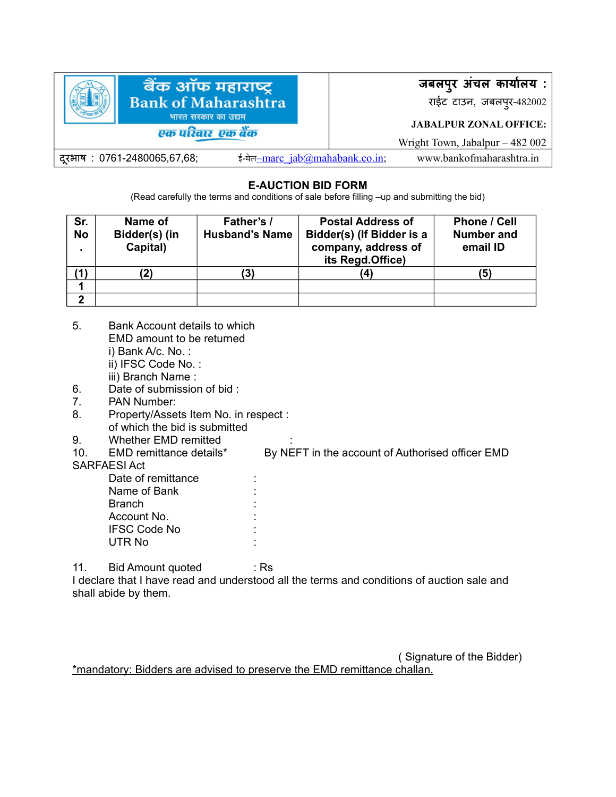

## **E-AUCTION BID FORM**

(Read carefully the terms and conditions of sale before filling –up and submitting the bid)

| Sr.<br><b>No</b><br>$\blacksquare$ | Name of<br>Bidder(s) (in<br>Capital) | Father's /<br><b>Husband's Name</b> | <b>Postal Address of</b><br>Bidder(s) (If Bidder is a<br>company, address of<br>its Regd.Office) | <b>Phone / Cell</b><br><b>Number and</b><br>email ID |
|------------------------------------|--------------------------------------|-------------------------------------|--------------------------------------------------------------------------------------------------|------------------------------------------------------|
|                                    |                                      | '31                                 | 4                                                                                                | (5)                                                  |
|                                    |                                      |                                     |                                                                                                  |                                                      |
| ົ                                  |                                      |                                     |                                                                                                  |                                                      |

- 5. Bank Account details to which EMD amount to be returned i) Bank A/c. No. : ii) IFSC Code No. : iii) Branch Name :
- 6. Date of submission of bid :
- 7. PAN Number:
- 8. Property/Assets Item No. in respect : of which the bid is submitted
- 9. Whether EMD remitted :
- 

10. EMD remittance details\* By NEFT in the account of Authorised officer EMD

#### SARFAESI Act

Date of remittance Name of Bank **Branch** Account No. : IFSC Code No : UTR No :

11. Bid Amount quoted : Rs

I declare that I have read and understood all the terms and conditions of auction sale and shall abide by them.

\*mandatory: Bidders are advised to preserve the EMD remittance challan.

( Signature of the Bidder)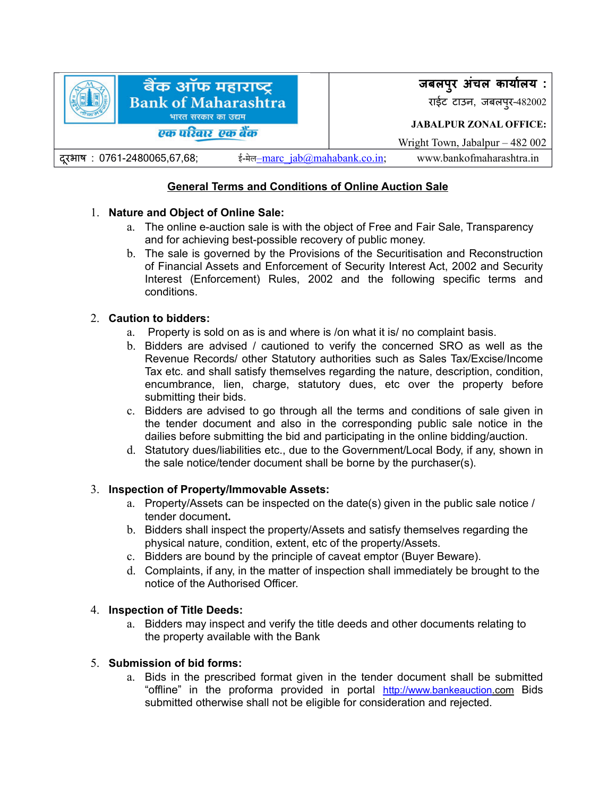

# **General Terms and Conditions of Online Auction Sale**

## 1. **Nature and Object of Online Sale:**

- a. The online e-auction sale is with the object of Free and Fair Sale, Transparency and for achieving best-possible recovery of public money.
- b. The sale is governed by the Provisions of the Securitisation and Reconstruction of Financial Assets and Enforcement of Security Interest Act, 2002 and Security Interest (Enforcement) Rules, 2002 and the following specific terms and conditions.

## 2. **Caution to bidders:**

- a. Property is sold on as is and where is /on what it is/ no complaint basis.
- b. Bidders are advised / cautioned to verify the concerned SRO as well as the Revenue Records/ other Statutory authorities such as Sales Tax/Excise/Income Tax etc. and shall satisfy themselves regarding the nature, description, condition, encumbrance, lien, charge, statutory dues, etc over the property before submitting their bids.
- c. Bidders are advised to go through all the terms and conditions of sale given in the tender document and also in the corresponding public sale notice in the dailies before submitting the bid and participating in the online bidding/auction.
- d. Statutory dues/liabilities etc., due to the Government/Local Body, if any, shown in the sale notice/tender document shall be borne by the purchaser(s).

### 3. **Inspection of Property/Immovable Assets:**

- a. Property/Assets can be inspected on the date(s) given in the public sale notice / tender document**.**
- b. Bidders shall inspect the property/Assets and satisfy themselves regarding the physical nature, condition, extent, etc of the property/Assets.
- c. Bidders are bound by the principle of caveat emptor (Buyer Beware).
- d. Complaints, if any, in the matter of inspection shall immediately be brought to the notice of the Authorised Officer.

### 4. **Inspection of Title Deeds:**

a. Bidders may inspect and verify the title deeds and other documents relating to the property available with the Bank

### 5. **Submission of bid forms:**

a. Bids in the prescribed format given in the tender document shall be submitted "offline" in the proforma provided in portal http://www.bankeauction.com Bids submitted otherwise shall not be eligible for consideration and rejected.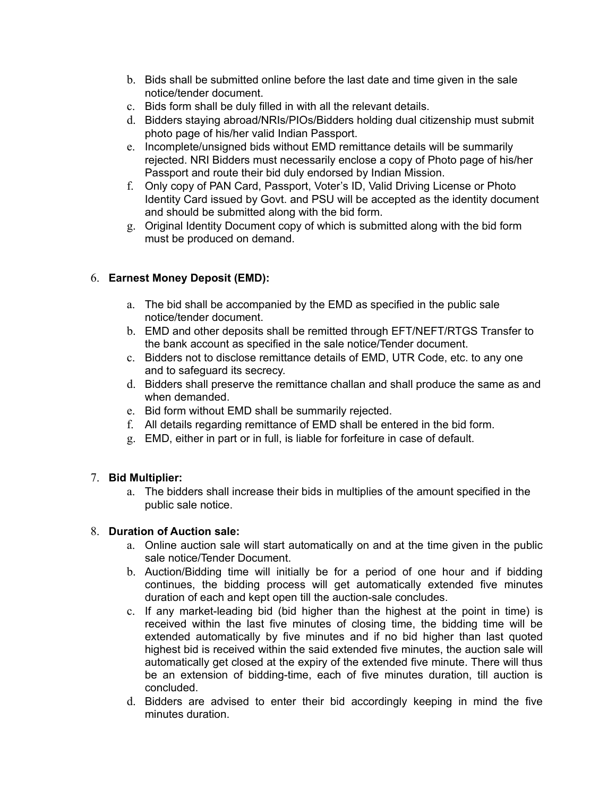- b. Bids shall be submitted online before the last date and time given in the sale notice/tender document.
- c. Bids form shall be duly filled in with all the relevant details.
- d. Bidders staying abroad/NRIs/PIOs/Bidders holding dual citizenship must submit photo page of his/her valid Indian Passport.
- e. Incomplete/unsigned bids without EMD remittance details will be summarily rejected. NRI Bidders must necessarily enclose a copy of Photo page of his/her Passport and route their bid duly endorsed by Indian Mission.
- f. Only copy of PAN Card, Passport, Voter's ID, Valid Driving License or Photo Identity Card issued by Govt. and PSU will be accepted as the identity document and should be submitted along with the bid form.
- g. Original Identity Document copy of which is submitted along with the bid form must be produced on demand.

# 6. **Earnest Money Deposit (EMD):**

- a. The bid shall be accompanied by the EMD as specified in the public sale notice/tender document.
- b. EMD and other deposits shall be remitted through EFT/NEFT/RTGS Transfer to the bank account as specified in the sale notice/Tender document.
- c. Bidders not to disclose remittance details of EMD, UTR Code, etc. to any one and to safeguard its secrecy.
- d. Bidders shall preserve the remittance challan and shall produce the same as and when demanded.
- e. Bid form without EMD shall be summarily rejected.
- f. All details regarding remittance of EMD shall be entered in the bid form.
- g. EMD, either in part or in full, is liable for forfeiture in case of default.

# 7. **Bid Multiplier:**

a. The bidders shall increase their bids in multiplies of the amount specified in the public sale notice.

### 8. **Duration of Auction sale:**

- a. Online auction sale will start automatically on and at the time given in the public sale notice/Tender Document.
- b. Auction/Bidding time will initially be for a period of one hour and if bidding continues, the bidding process will get automatically extended five minutes duration of each and kept open till the auction-sale concludes.
- c. If any market-leading bid (bid higher than the highest at the point in time) is received within the last five minutes of closing time, the bidding time will be extended automatically by five minutes and if no bid higher than last quoted highest bid is received within the said extended five minutes, the auction sale will automatically get closed at the expiry of the extended five minute. There will thus be an extension of bidding-time, each of five minutes duration, till auction is concluded.
- d. Bidders are advised to enter their bid accordingly keeping in mind the five minutes duration.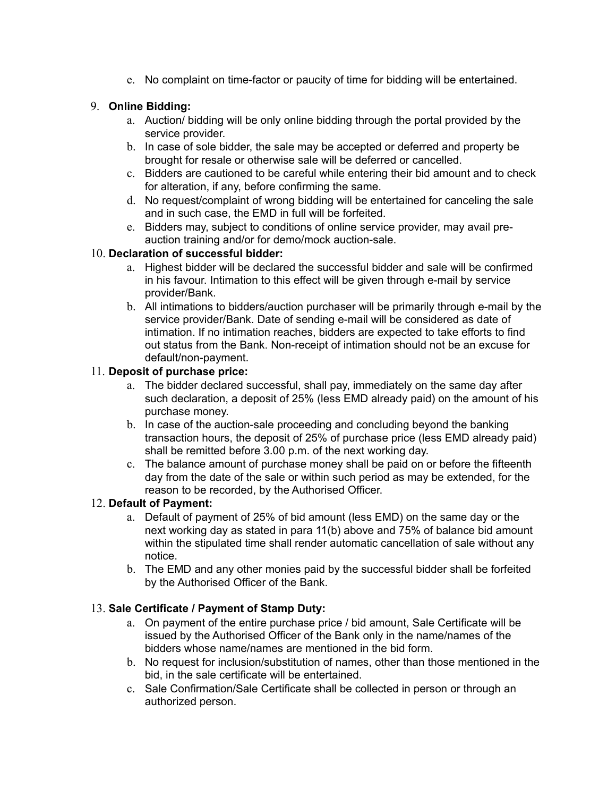e. No complaint on time-factor or paucity of time for bidding will be entertained.

# 9. **Online Bidding:**

- a. Auction/ bidding will be only online bidding through the portal provided by the service provider.
- b. In case of sole bidder, the sale may be accepted or deferred and property be brought for resale or otherwise sale will be deferred or cancelled.
- c. Bidders are cautioned to be careful while entering their bid amount and to check for alteration, if any, before confirming the same.
- d. No request/complaint of wrong bidding will be entertained for canceling the sale and in such case, the EMD in full will be forfeited.
- e. Bidders may, subject to conditions of online service provider, may avail preauction training and/or for demo/mock auction-sale.

## 10. **Declaration of successful bidder:**

- a. Highest bidder will be declared the successful bidder and sale will be confirmed in his favour. Intimation to this effect will be given through e-mail by service provider/Bank.
- b. All intimations to bidders/auction purchaser will be primarily through e-mail by the service provider/Bank. Date of sending e-mail will be considered as date of intimation. If no intimation reaches, bidders are expected to take efforts to find out status from the Bank. Non-receipt of intimation should not be an excuse for default/non-payment.

## 11. **Deposit of purchase price:**

- a. The bidder declared successful, shall pay, immediately on the same day after such declaration, a deposit of 25% (less EMD already paid) on the amount of his purchase money.
- b. In case of the auction-sale proceeding and concluding beyond the banking transaction hours, the deposit of 25% of purchase price (less EMD already paid) shall be remitted before 3.00 p.m. of the next working day.
- c. The balance amount of purchase money shall be paid on or before the fifteenth day from the date of the sale or within such period as may be extended, for the reason to be recorded, by the Authorised Officer.

# 12. **Default of Payment:**

- a. Default of payment of 25% of bid amount (less EMD) on the same day or the next working day as stated in para 11(b) above and 75% of balance bid amount within the stipulated time shall render automatic cancellation of sale without any notice.
- b. The EMD and any other monies paid by the successful bidder shall be forfeited by the Authorised Officer of the Bank.

# 13. **Sale Certificate / Payment of Stamp Duty:**

- a. On payment of the entire purchase price / bid amount, Sale Certificate will be issued by the Authorised Officer of the Bank only in the name/names of the bidders whose name/names are mentioned in the bid form.
- b. No request for inclusion/substitution of names, other than those mentioned in the bid, in the sale certificate will be entertained.
- c. Sale Confirmation/Sale Certificate shall be collected in person or through an authorized person.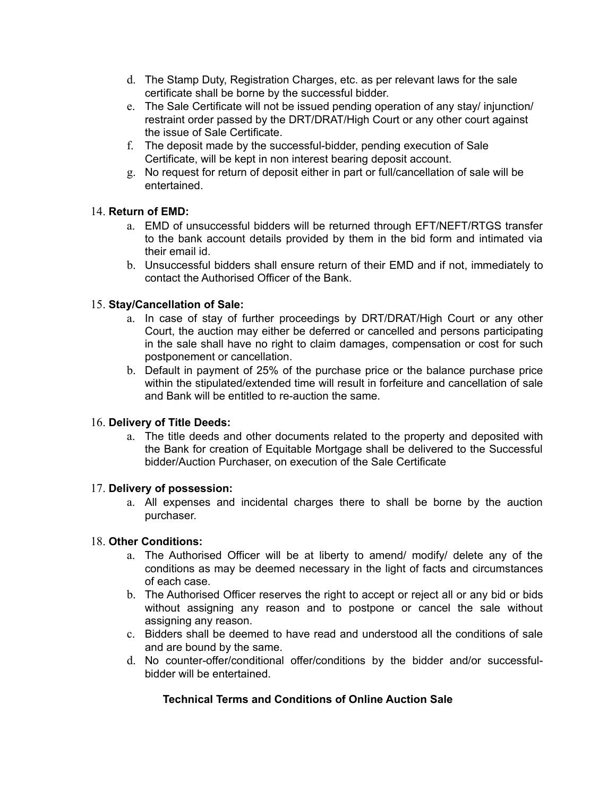- d. The Stamp Duty, Registration Charges, etc. as per relevant laws for the sale certificate shall be borne by the successful bidder.
- e. The Sale Certificate will not be issued pending operation of any stay/ injunction/ restraint order passed by the DRT/DRAT/High Court or any other court against the issue of Sale Certificate.
- f. The deposit made by the successful-bidder, pending execution of Sale Certificate, will be kept in non interest bearing deposit account.
- g. No request for return of deposit either in part or full/cancellation of sale will be entertained.

## 14. **Return of EMD:**

- a. EMD of unsuccessful bidders will be returned through EFT/NEFT/RTGS transfer to the bank account details provided by them in the bid form and intimated via their email id.
- b. Unsuccessful bidders shall ensure return of their EMD and if not, immediately to contact the Authorised Officer of the Bank.

## 15. **Stay/Cancellation of Sale:**

- a. In case of stay of further proceedings by DRT/DRAT/High Court or any other Court, the auction may either be deferred or cancelled and persons participating in the sale shall have no right to claim damages, compensation or cost for such postponement or cancellation.
- b. Default in payment of 25% of the purchase price or the balance purchase price within the stipulated/extended time will result in forfeiture and cancellation of sale and Bank will be entitled to re-auction the same.

### 16. **Delivery of Title Deeds:**

a. The title deeds and other documents related to the property and deposited with the Bank for creation of Equitable Mortgage shall be delivered to the Successful bidder/Auction Purchaser, on execution of the Sale Certificate

### 17. **Delivery of possession:**

a. All expenses and incidental charges there to shall be borne by the auction purchaser.

### 18. **Other Conditions:**

- a. The Authorised Officer will be at liberty to amend/ modify/ delete any of the conditions as may be deemed necessary in the light of facts and circumstances of each case.
- b. The Authorised Officer reserves the right to accept or reject all or any bid or bids without assigning any reason and to postpone or cancel the sale without assigning any reason.
- c. Bidders shall be deemed to have read and understood all the conditions of sale and are bound by the same.
- d. No counter-offer/conditional offer/conditions by the bidder and/or successfulbidder will be entertained.

# **Technical Terms and Conditions of Online Auction Sale**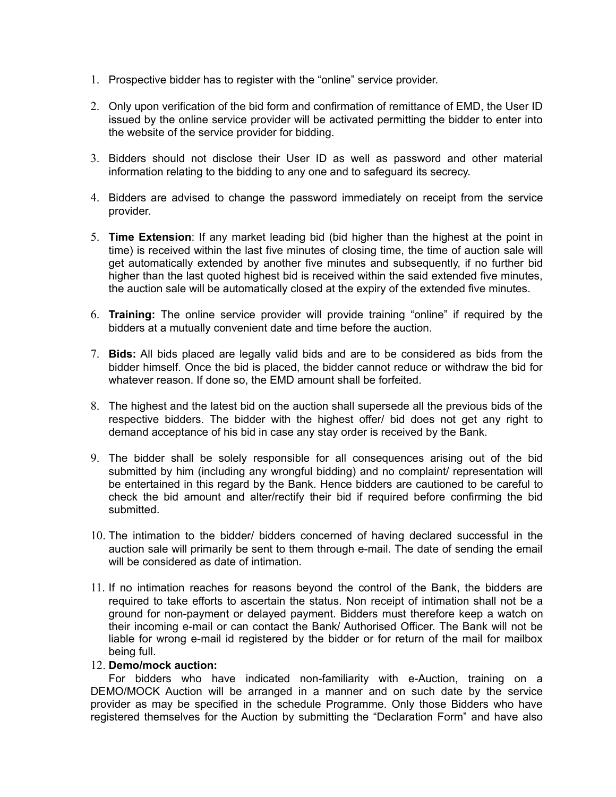- 1. Prospective bidder has to register with the "online" service provider.
- 2. Only upon verification of the bid form and confirmation of remittance of EMD, the User ID issued by the online service provider will be activated permitting the bidder to enter into the website of the service provider for bidding.
- 3. Bidders should not disclose their User ID as well as password and other material information relating to the bidding to any one and to safeguard its secrecy.
- 4. Bidders are advised to change the password immediately on receipt from the service provider.
- 5. **Time Extension**: If any market leading bid (bid higher than the highest at the point in time) is received within the last five minutes of closing time, the time of auction sale will get automatically extended by another five minutes and subsequently, if no further bid higher than the last quoted highest bid is received within the said extended five minutes, the auction sale will be automatically closed at the expiry of the extended five minutes.
- 6. **Training:** The online service provider will provide training "online" if required by the bidders at a mutually convenient date and time before the auction.
- 7. **Bids:** All bids placed are legally valid bids and are to be considered as bids from the bidder himself. Once the bid is placed, the bidder cannot reduce or withdraw the bid for whatever reason. If done so, the EMD amount shall be forfeited.
- 8. The highest and the latest bid on the auction shall supersede all the previous bids of the respective bidders. The bidder with the highest offer/ bid does not get any right to demand acceptance of his bid in case any stay order is received by the Bank.
- 9. The bidder shall be solely responsible for all consequences arising out of the bid submitted by him (including any wrongful bidding) and no complaint/ representation will be entertained in this regard by the Bank. Hence bidders are cautioned to be careful to check the bid amount and alter/rectify their bid if required before confirming the bid submitted.
- 10. The intimation to the bidder/ bidders concerned of having declared successful in the auction sale will primarily be sent to them through e-mail. The date of sending the email will be considered as date of intimation.
- 11. If no intimation reaches for reasons beyond the control of the Bank, the bidders are required to take efforts to ascertain the status. Non receipt of intimation shall not be a ground for non-payment or delayed payment. Bidders must therefore keep a watch on their incoming e-mail or can contact the Bank/ Authorised Officer. The Bank will not be liable for wrong e-mail id registered by the bidder or for return of the mail for mailbox being full.

#### 12. **Demo/mock auction:**

For bidders who have indicated non-familiarity with e-Auction, training on a DEMO/MOCK Auction will be arranged in a manner and on such date by the service provider as may be specified in the schedule Programme. Only those Bidders who have registered themselves for the Auction by submitting the "Declaration Form" and have also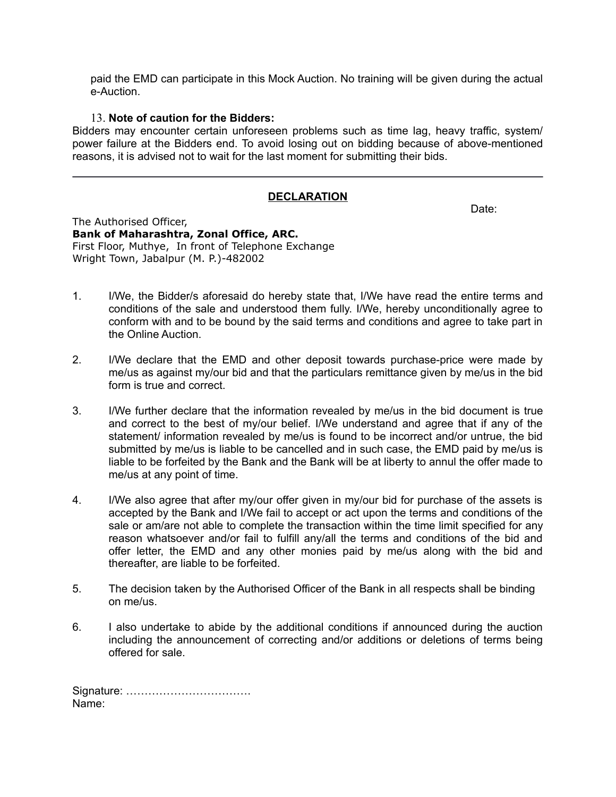paid the EMD can participate in this Mock Auction. No training will be given during the actual e-Auction.

#### 13. **Note of caution for the Bidders:**

Bidders may encounter certain unforeseen problems such as time lag, heavy traffic, system/ power failure at the Bidders end. To avoid losing out on bidding because of above-mentioned reasons, it is advised not to wait for the last moment for submitting their bids.

## **DECLARATION**

Date:

The Authorised Officer, **Bank of Maharashtra, Zonal Office, ARC.** First Floor, Muthye, In front of Telephone Exchange Wright Town, Jabalpur (M. P.)-482002

- 1. I/We, the Bidder/s aforesaid do hereby state that, I/We have read the entire terms and conditions of the sale and understood them fully. I/We, hereby unconditionally agree to conform with and to be bound by the said terms and conditions and agree to take part in the Online Auction.
- 2. I/We declare that the EMD and other deposit towards purchase-price were made by me/us as against my/our bid and that the particulars remittance given by me/us in the bid form is true and correct.
- 3. I/We further declare that the information revealed by me/us in the bid document is true and correct to the best of my/our belief. I/We understand and agree that if any of the statement/ information revealed by me/us is found to be incorrect and/or untrue, the bid submitted by me/us is liable to be cancelled and in such case, the EMD paid by me/us is liable to be forfeited by the Bank and the Bank will be at liberty to annul the offer made to me/us at any point of time.
- 4. I/We also agree that after my/our offer given in my/our bid for purchase of the assets is accepted by the Bank and I/We fail to accept or act upon the terms and conditions of the sale or am/are not able to complete the transaction within the time limit specified for any reason whatsoever and/or fail to fulfill any/all the terms and conditions of the bid and offer letter, the EMD and any other monies paid by me/us along with the bid and thereafter, are liable to be forfeited.
- 5. The decision taken by the Authorised Officer of the Bank in all respects shall be binding on me/us.
- 6. I also undertake to abide by the additional conditions if announced during the auction including the announcement of correcting and/or additions or deletions of terms being offered for sale.

Signature: ……………………………. Name: